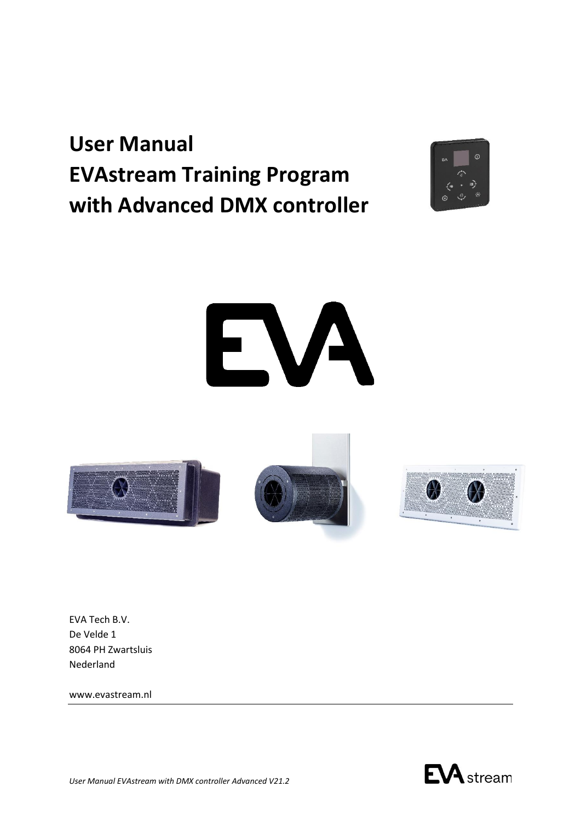# **User Manual EVAstream Training Program with Advanced DMX controller**



# EVA



EVA Tech B.V. De Velde 1 8064 PH Zwartsluis Nederland

www.evastream.nl

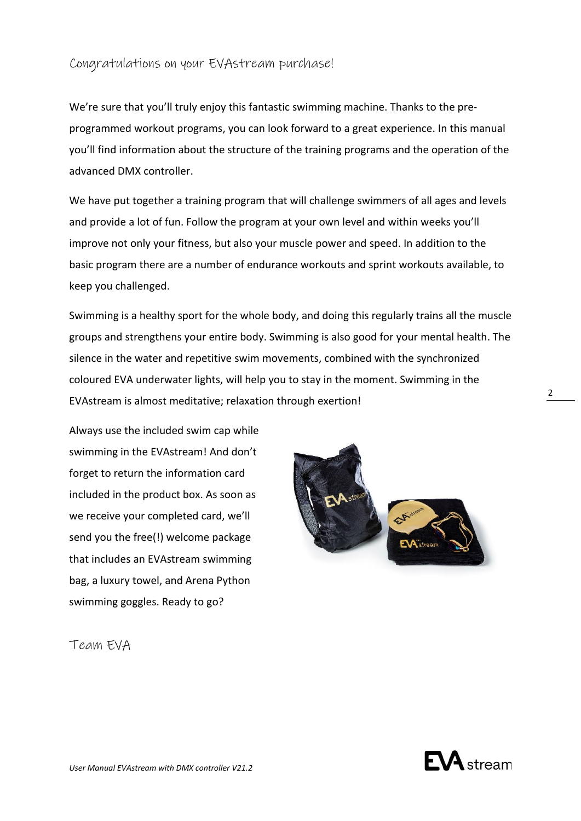### Congratulations on your EVAstream purchase!

We're sure that you'll truly enjoy this fantastic swimming machine. Thanks to the preprogrammed workout programs, you can look forward to a great experience. In this manual you'll find information about the structure of the training programs and the operation of the advanced DMX controller.

We have put together a training program that will challenge swimmers of all ages and levels and provide a lot of fun. Follow the program at your own level and within weeks you'll improve not only your fitness, but also your muscle power and speed. In addition to the basic program there are a number of endurance workouts and sprint workouts available, to keep you challenged.

Swimming is a healthy sport for the whole body, and doing this regularly trains all the muscle groups and strengthens your entire body. Swimming is also good for your mental health. The silence in the water and repetitive swim movements, combined with the synchronized coloured EVA underwater lights, will help you to stay in the moment. Swimming in the EVAstream is almost meditative; relaxation through exertion!

Always use the included swim cap while swimming in the EVAstream! And don't forget to return the information card included in the product box. As soon as we receive your completed card, we'll send you the free(!) welcome package that includes an EVAstream swimming bag, a luxury towel, and Arena Python swimming goggles. Ready to go?



Team EVA



 $\mathcal{L}$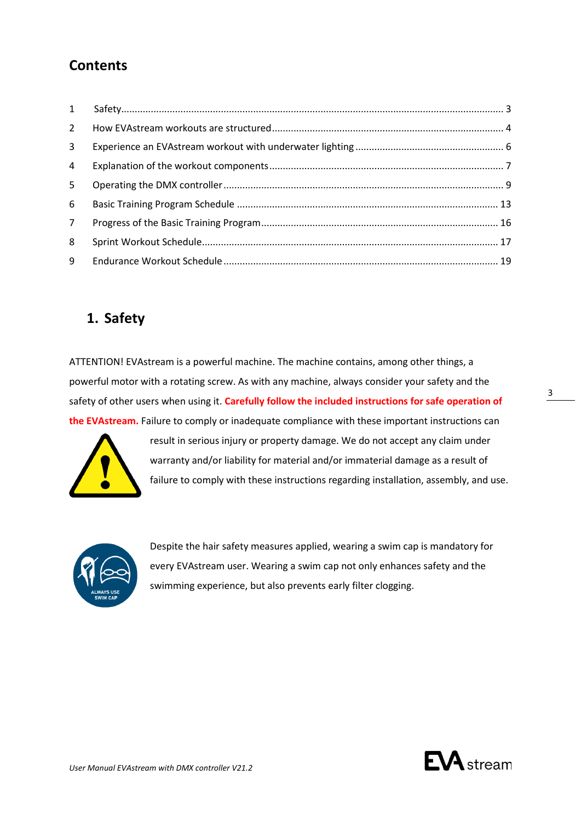# **Contents**

| $\mathbf{1}$   |  |
|----------------|--|
| $2^{\circ}$    |  |
| $\mathbf{3}$   |  |
| 4              |  |
| 5 <sup>5</sup> |  |
| 6              |  |
| $7^{\circ}$    |  |
| 8              |  |
| 9              |  |

# <span id="page-2-0"></span>**1. Safety**

ATTENTION! EVAstream is a powerful machine. The machine contains, among other things, a powerful motor with a rotating screw. As with any machine, always consider your safety and the safety of other users when using it. **Carefully follow the included instructions for safe operation of the EVAstream.** Failure to comply or inadequate compliance with these important instructions can



result in serious injury or property damage. We do not accept any claim under warranty and/or liability for material and/or immaterial damage as a result of failure to comply with these instructions regarding installation, assembly, and use.



Despite the hair safety measures applied, wearing a swim cap is mandatory for every EVAstream user. Wearing a swim cap not only enhances safety and the swimming experience, but also prevents early filter clogging.

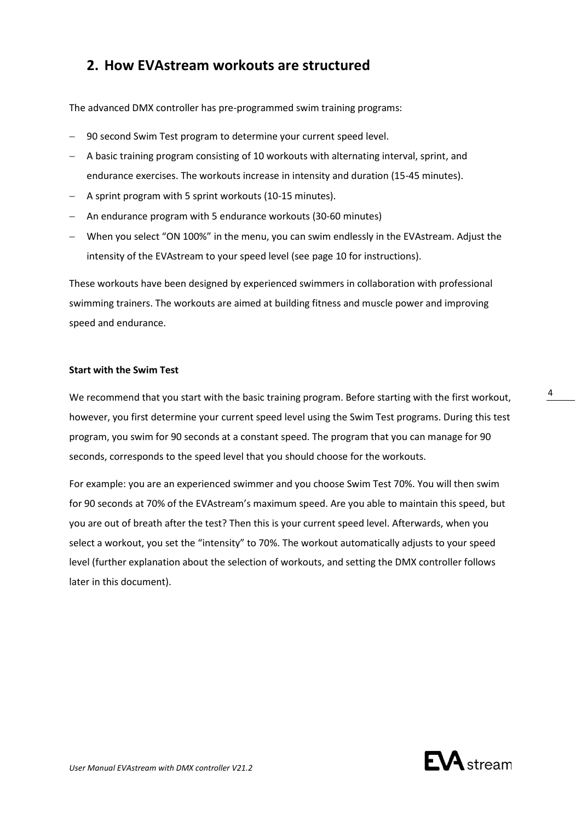# <span id="page-3-0"></span>**2. How EVAstream workouts are structured**

The advanced DMX controller has pre-programmed swim training programs:

- − 90 second Swim Test program to determine your current speed level.
- − A basic training program consisting of 10 workouts with alternating interval, sprint, and endurance exercises. The workouts increase in intensity and duration (15-45 minutes).
- − A sprint program with 5 sprint workouts (10-15 minutes).
- − An endurance program with 5 endurance workouts (30-60 minutes)
- − When you select "ON 100%" in the menu, you can swim endlessly in the EVAstream. Adjust the intensity of the EVAstream to your speed level (see page 10 for instructions).

These workouts have been designed by experienced swimmers in collaboration with professional swimming trainers. The workouts are aimed at building fitness and muscle power and improving speed and endurance.

### **Start with the Swim Test**

We recommend that you start with the basic training program. Before starting with the first workout, however, you first determine your current speed level using the Swim Test programs. During this test program, you swim for 90 seconds at a constant speed. The program that you can manage for 90 seconds, corresponds to the speed level that you should choose for the workouts.

For example: you are an experienced swimmer and you choose Swim Test 70%. You will then swim for 90 seconds at 70% of the EVAstream's maximum speed. Are you able to maintain this speed, but you are out of breath after the test? Then this is your current speed level. Afterwards, when you select a workout, you set the "intensity" to 70%. The workout automatically adjusts to your speed level (further explanation about the selection of workouts, and setting the DMX controller follows later in this document).

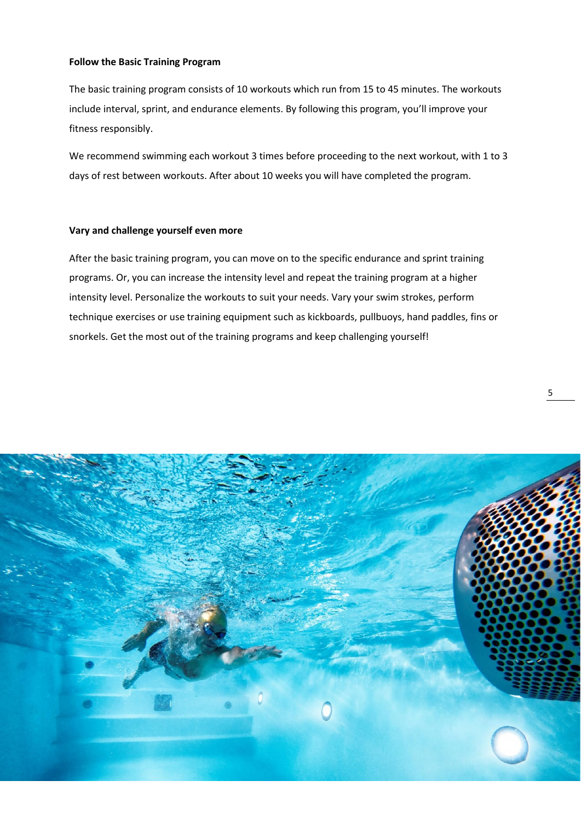### **Follow the Basic Training Program**

The basic training program consists of 10 workouts which run from 15 to 45 minutes. The workouts include interval, sprint, and endurance elements. By following this program, you'll improve your fitness responsibly.

We recommend swimming each workout 3 times before proceeding to the next workout, with 1 to 3 days of rest between workouts. After about 10 weeks you will have completed the program.

### **Vary and challenge yourself even more**

After the basic training program, you can move on to the specific endurance and sprint training programs. Or, you can increase the intensity level and repeat the training program at a higher intensity level. Personalize the workouts to suit your needs. Vary your swim strokes, perform technique exercises or use training equipment such as kickboards, pullbuoys, hand paddles, fins or snorkels. Get the most out of the training programs and keep challenging yourself!

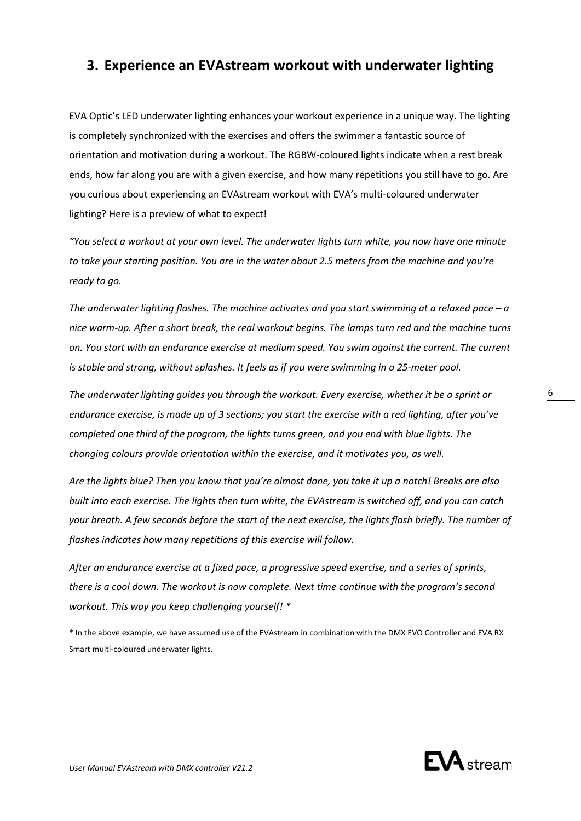# <span id="page-5-0"></span>**3. Experience an EVAstream workout with underwater lighting**

EVA Optic's LED underwater lighting enhances your workout experience in a unique way. The lighting is completely synchronized with the exercises and offers the swimmer a fantastic source of orientation and motivation during a workout. The RGBW-coloured lights indicate when a rest break ends, how far along you are with a given exercise, and how many repetitions you still have to go. Are you curious about experiencing an EVAstream workout with EVA's multi-coloured underwater lighting? Here is a preview of what to expect!

*"You select a workout at your own level. The underwater lights turn white, you now have one minute to take your starting position. You are in the water about 2.5 meters from the machine and you're ready to go.* 

*The underwater lighting flashes. The machine activates and you start swimming at a relaxed pace – a nice warm-up. After a short break, the real workout begins. The lamps turn red and the machine turns on. You start with an endurance exercise at medium speed. You swim against the current. The current is stable and strong, without splashes. It feels as if you were swimming in a 25-meter pool.*

*The underwater lighting guides you through the workout. Every exercise, whether it be a sprint or endurance exercise, is made up of 3 sections; you start the exercise with a red lighting, after you've completed one third of the program, the lights turns green, and you end with blue lights. The changing colours provide orientation within the exercise, and it motivates you, as well.*

*Are the lights blue? Then you know that you're almost done, you take it up a notch! Breaks are also built into each exercise. The lights then turn white, the EVAstream is switched off, and you can catch your breath. A few seconds before the start of the next exercise, the lights flash briefly. The number of flashes indicates how many repetitions of this exercise will follow.*

*After an endurance exercise at a fixed pace, a progressive speed exercise, and a series of sprints, there is a cool down. The workout is now complete. Next time continue with the program's second workout. This way you keep challenging yourself! \**

\* In the above example, we have assumed use of the EVAstream in combination with the DMX EVO Controller and EVA RX Smart multi-coloured underwater lights.

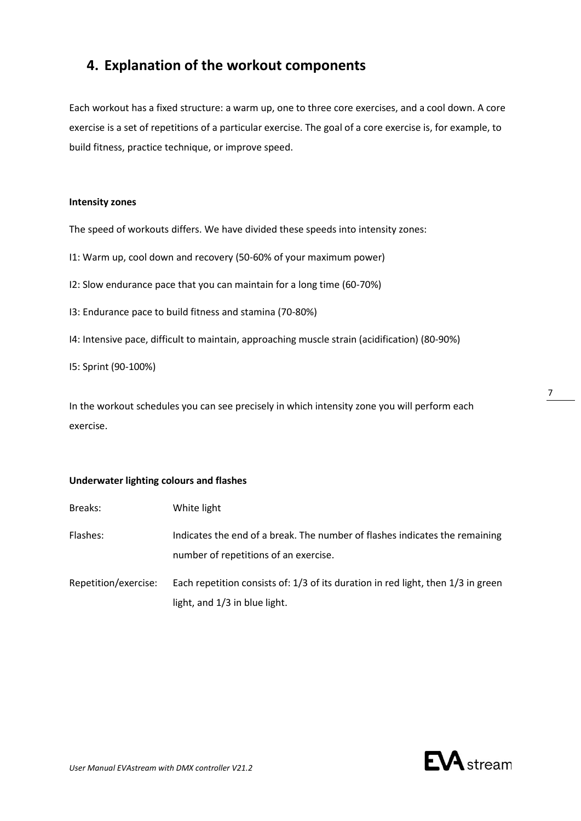# <span id="page-6-0"></span>**4. Explanation of the workout components**

Each workout has a fixed structure: a warm up, one to three core exercises, and a cool down. A core exercise is a set of repetitions of a particular exercise. The goal of a core exercise is, for example, to build fitness, practice technique, or improve speed.

### **Intensity zones**

The speed of workouts differs. We have divided these speeds into intensity zones:

I1: Warm up, cool down and recovery (50-60% of your maximum power)

I2: Slow endurance pace that you can maintain for a long time (60-70%)

I3: Endurance pace to build fitness and stamina (70-80%)

I4: Intensive pace, difficult to maintain, approaching muscle strain (acidification) (80-90%)

I5: Sprint (90-100%)

In the workout schedules you can see precisely in which intensity zone you will perform each exercise.

### **Underwater lighting colours and flashes**

| Breaks:              | White light                                                                                                          |
|----------------------|----------------------------------------------------------------------------------------------------------------------|
| Flashes:             | Indicates the end of a break. The number of flashes indicates the remaining<br>number of repetitions of an exercise. |
| Repetition/exercise: | Each repetition consists of: 1/3 of its duration in red light, then 1/3 in green<br>light, and 1/3 in blue light.    |

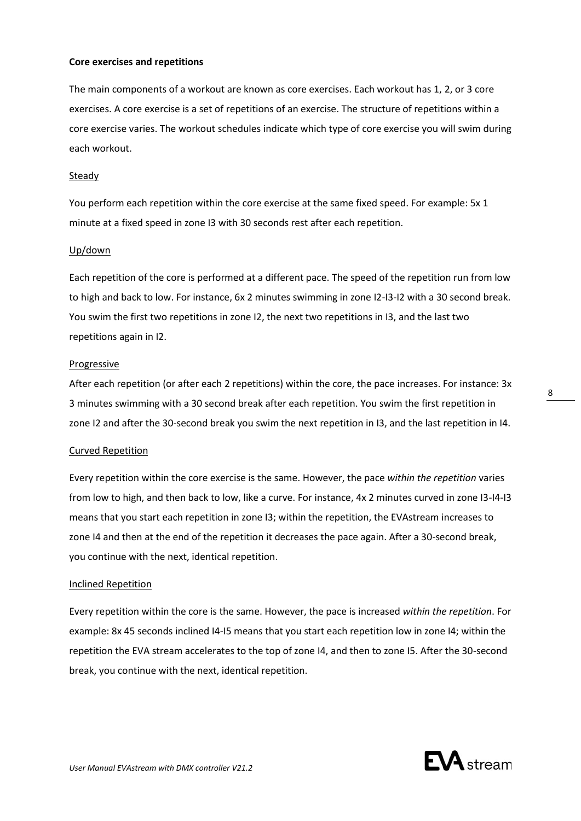### **Core exercises and repetitions**

The main components of a workout are known as core exercises. Each workout has 1, 2, or 3 core exercises. A core exercise is a set of repetitions of an exercise. The structure of repetitions within a core exercise varies. The workout schedules indicate which type of core exercise you will swim during each workout.

### Steady

You perform each repetition within the core exercise at the same fixed speed. For example: 5x 1 minute at a fixed speed in zone I3 with 30 seconds rest after each repetition.

### Up/down

Each repetition of the core is performed at a different pace. The speed of the repetition run from low to high and back to low. For instance, 6x 2 minutes swimming in zone I2-I3-I2 with a 30 second break. You swim the first two repetitions in zone I2, the next two repetitions in I3, and the last two repetitions again in I2.

### Progressive

After each repetition (or after each 2 repetitions) within the core, the pace increases. For instance: 3x 3 minutes swimming with a 30 second break after each repetition. You swim the first repetition in zone I2 and after the 30-second break you swim the next repetition in I3, and the last repetition in I4.

### Curved Repetition

Every repetition within the core exercise is the same. However, the pace *within the repetition* varies from low to high, and then back to low, like a curve. For instance, 4x 2 minutes curved in zone I3-I4-I3 means that you start each repetition in zone I3; within the repetition, the EVAstream increases to zone I4 and then at the end of the repetition it decreases the pace again. After a 30-second break, you continue with the next, identical repetition.

### Inclined Repetition

Every repetition within the core is the same. However, the pace is increased *within the repetition*. For example: 8x 45 seconds inclined I4-I5 means that you start each repetition low in zone I4; within the repetition the EVA stream accelerates to the top of zone I4, and then to zone I5. After the 30-second break, you continue with the next, identical repetition.

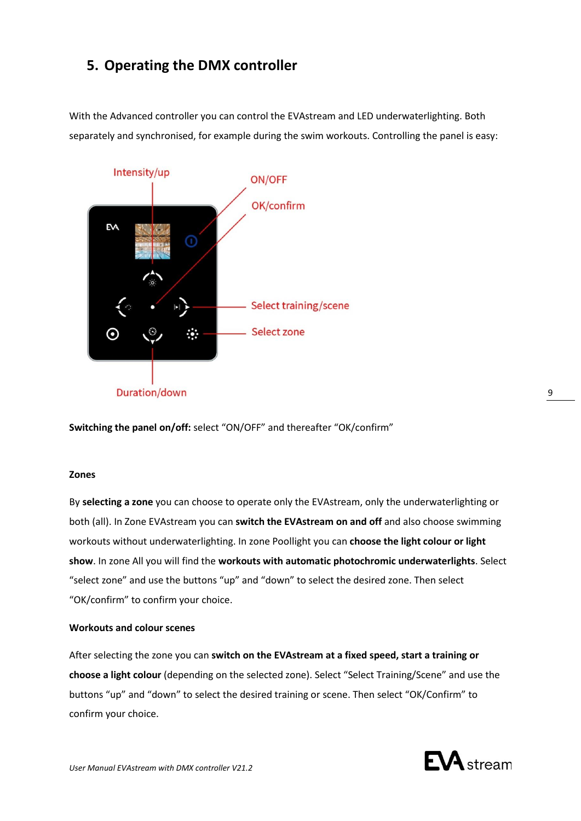# <span id="page-8-0"></span>**5. Operating the DMX controller**

With the Advanced controller you can control the EVAstream and LED underwaterlighting. Both separately and synchronised, for example during the swim workouts. Controlling the panel is easy:



**Switching the panel on/off:** select "ON/OFF" and thereafter "OK/confirm"

### **Zones**

By **selecting a zone** you can choose to operate only the EVAstream, only the underwaterlighting or both (all). In Zone EVAstream you can **switch the EVAstream on and off** and also choose swimming workouts without underwaterlighting. In zone Poollight you can **choose the light colour or light show**. In zone All you will find the **workouts with automatic photochromic underwaterlights**. Select "select zone" and use the buttons "up" and "down" to select the desired zone. Then select "OK/confirm" to confirm your choice.

### **Workouts and colour scenes**

After selecting the zone you can **switch on the EVAstream at a fixed speed, start a training or choose a light colour** (depending on the selected zone). Select "Select Training/Scene" and use the buttons "up" and "down" to select the desired training or scene. Then select "OK/Confirm" to confirm your choice.

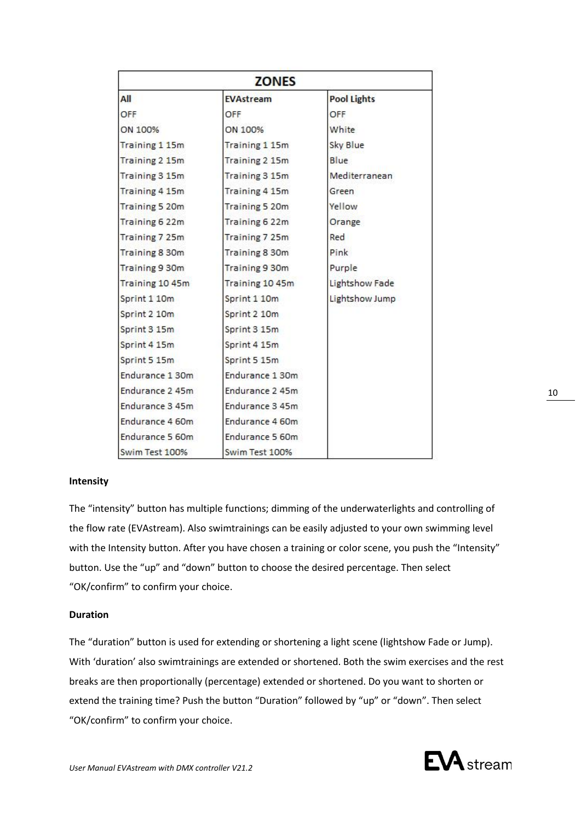| <b>ZONES</b>          |                  |                    |  |  |
|-----------------------|------------------|--------------------|--|--|
| All                   | <b>EVAstream</b> | <b>Pool Lights</b> |  |  |
| OFF                   | OFF              | OFF                |  |  |
| ON 100%               | ON 100%          | White              |  |  |
| <b>Training 1 15m</b> | Training 1 15m   | Sky Blue           |  |  |
| Training 2 15m        | Training 2 15m   | Blue               |  |  |
| Training 3 15m        | Training 3 15m   | Mediterranean      |  |  |
| Training 4 15m        | Training 4 15m   | Green              |  |  |
| <b>Training 5 20m</b> | Training 5 20m   | Yellow             |  |  |
| Training 6 22m        | Training 6 22m   | Orange             |  |  |
| Training 7 25m        | Training 7 25m   | Red                |  |  |
| Training 8 30m        | Training 8 30m   | Pink               |  |  |
| Training 9 30m        | Training 9 30m   | Purple             |  |  |
| Training 10 45m       | Training 10 45m  | Lightshow Fade     |  |  |
| Sprint 1 10m          | Sprint 1 10m     | Lightshow Jump     |  |  |
| Sprint 2 10m          | Sprint 2 10m     |                    |  |  |
| Sprint 3 15m          | Sprint 3 15m     |                    |  |  |
| Sprint 4 15m          | Sprint 4 15m     |                    |  |  |
| Sprint 5 15m          | Sprint 5 15m     |                    |  |  |
| Endurance 1 30m       | Endurance 1 30m  |                    |  |  |
| Endurance 2 45m       | Endurance 2 45m  |                    |  |  |
| Endurance 3 45m       | Endurance 3 45m  |                    |  |  |
| Endurance 4 60m       | Endurance 4 60m  |                    |  |  |
| Endurance 5 60m       | Endurance 5 60m  |                    |  |  |
| Swim Test 100%        | Swim Test 100%   |                    |  |  |

### **Intensity**

The "intensity" button has multiple functions; dimming of the underwaterlights and controlling of the flow rate (EVAstream). Also swimtrainings can be easily adjusted to your own swimming level with the Intensity button. After you have chosen a training or color scene, you push the "Intensity" button. Use the "up" and "down" button to choose the desired percentage. Then select "OK/confirm" to confirm your choice.

### **Duration**

The "duration" button is used for extending or shortening a light scene (lightshow Fade or Jump). With 'duration' also swimtrainings are extended or shortened. Both the swim exercises and the rest breaks are then proportionally (percentage) extended or shortened. Do you want to shorten or extend the training time? Push the button "Duration" followed by "up" or "down". Then select "OK/confirm" to confirm your choice.

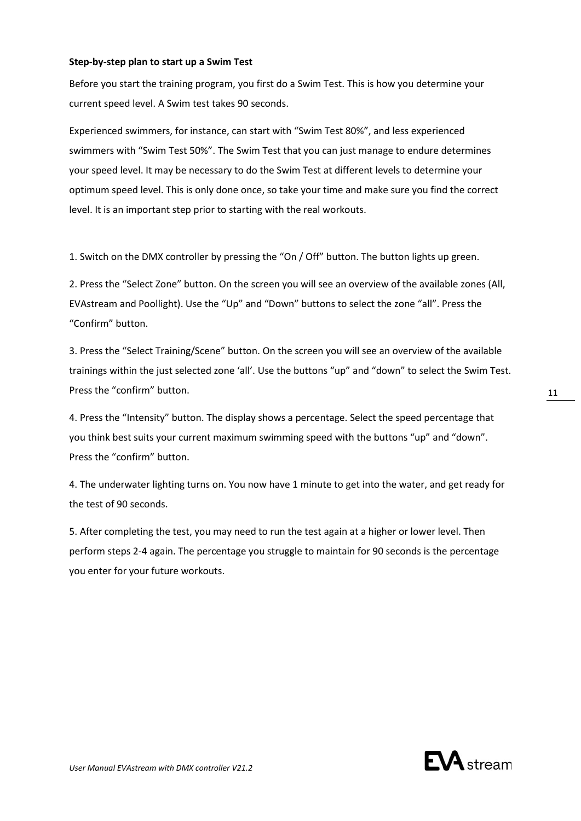### **Step-by-step plan to start up a Swim Test**

Before you start the training program, you first do a Swim Test. This is how you determine your current speed level. A Swim test takes 90 seconds.

Experienced swimmers, for instance, can start with "Swim Test 80%", and less experienced swimmers with "Swim Test 50%". The Swim Test that you can just manage to endure determines your speed level. It may be necessary to do the Swim Test at different levels to determine your optimum speed level. This is only done once, so take your time and make sure you find the correct level. It is an important step prior to starting with the real workouts.

1. Switch on the DMX controller by pressing the "On / Off" button. The button lights up green.

2. Press the "Select Zone" button. On the screen you will see an overview of the available zones (All, EVAstream and Poollight). Use the "Up" and "Down" buttons to select the zone "all". Press the "Confirm" button.

3. Press the "Select Training/Scene" button. On the screen you will see an overview of the available trainings within the just selected zone 'all'. Use the buttons "up" and "down" to select the Swim Test. Press the "confirm" button.

4. Press the "Intensity" button. The display shows a percentage. Select the speed percentage that you think best suits your current maximum swimming speed with the buttons "up" and "down". Press the "confirm" button.

4. The underwater lighting turns on. You now have 1 minute to get into the water, and get ready for the test of 90 seconds.

5. After completing the test, you may need to run the test again at a higher or lower level. Then perform steps 2-4 again. The percentage you struggle to maintain for 90 seconds is the percentage you enter for your future workouts.

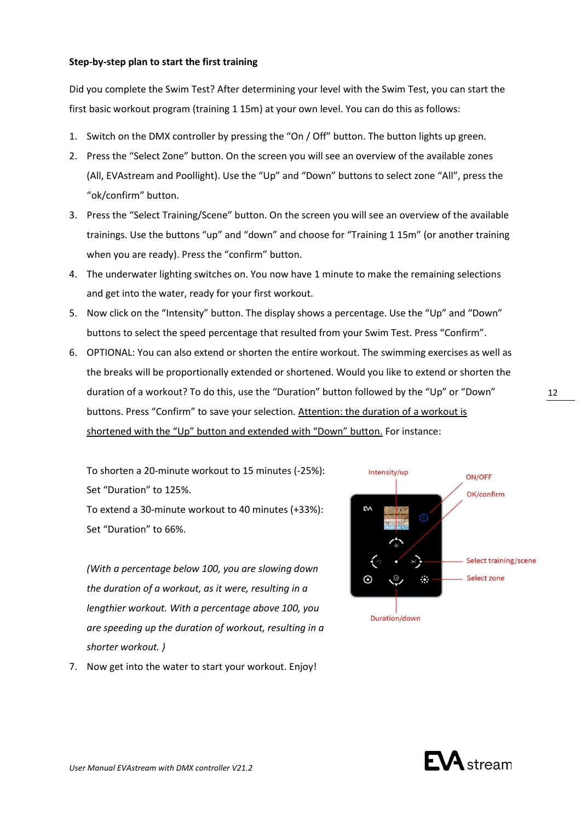### **Step-by-step plan to start the first training**

Did you complete the Swim Test? After determining your level with the Swim Test, you can start the first basic workout program (training 1 15m) at your own level. You can do this as follows:

- 1. Switch on the DMX controller by pressing the "On / Off" button. The button lights up green.
- 2. Press the "Select Zone" button. On the screen you will see an overview of the available zones (All, EVAstream and Poollight). Use the "Up" and "Down" buttons to select zone "All", press the "ok/confirm" button.
- 3. Press the "Select Training/Scene" button. On the screen you will see an overview of the available trainings. Use the buttons "up" and "down" and choose for "Training 1 15m" (or another training when you are ready). Press the "confirm" button.
- 4. The underwater lighting switches on. You now have 1 minute to make the remaining selections and get into the water, ready for your first workout.
- 5. Now click on the "Intensity" button. The display shows a percentage. Use the "Up" and "Down" buttons to select the speed percentage that resulted from your Swim Test. Press "Confirm".
- 6. OPTIONAL: You can also extend or shorten the entire workout. The swimming exercises as well as the breaks will be proportionally extended or shortened. Would you like to extend or shorten the duration of a workout? To do this, use the "Duration" button followed by the "Up" or "Down" buttons. Press "Confirm" to save your selection. Attention: the duration of a workout is shortened with the "Up" button and extended with "Down" button. For instance:

To shorten a 20-minute workout to 15 minutes (-25%): Set "Duration" to 125%. To extend a 30-minute workout to 40 minutes (+33%):

Set "Duration" to 66%.

*(With a percentage below 100, you are slowing down the duration of a workout, as it were, resulting in a lengthier workout. With a percentage above 100, you are speeding up the duration of workout, resulting in a shorter workout. )*

7. Now get into the water to start your workout. Enjoy!



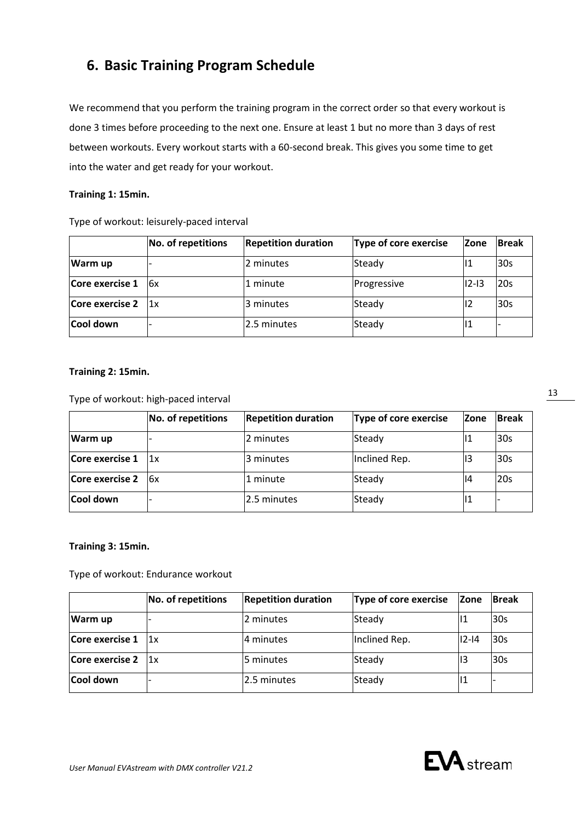# <span id="page-12-0"></span>**6. Basic Training Program Schedule**

We recommend that you perform the training program in the correct order so that every workout is done 3 times before proceeding to the next one. Ensure at least 1 but no more than 3 days of rest between workouts. Every workout starts with a 60-second break. This gives you some time to get into the water and get ready for your workout.

### **Training 1: 15min.**

|                 | <b>No. of repetitions</b> | <b>Repetition duration</b> | Type of core exercise | <b>Zone</b> | <b>Break</b> |
|-----------------|---------------------------|----------------------------|-----------------------|-------------|--------------|
| Warm up         |                           | 2 minutes                  | Steady                | 11          | <b>30s</b>   |
| Core exercise 1 | 6x                        | 1 minute                   | Progressive           | $ 12 - 13 $ | 20s          |
| Core exercise 2 | 1x                        | 3 minutes                  | Steady                | 12          | <b>30s</b>   |
| Cool down       |                           | 2.5 minutes                | Steady                | 1           |              |

Type of workout: leisurely-paced interval

### **Training 2: 15min.**

Type of workout: high-paced interval

|                  | No. of repetitions | <b>Repetition duration</b> | Type of core exercise | <b>Zone</b> | <b>Break</b> |
|------------------|--------------------|----------------------------|-----------------------|-------------|--------------|
| Warm up          |                    | 2 minutes                  | Steady                | 11          | 30s          |
| Core exercise 1  | 1x                 | 3 minutes                  | Inclined Rep.         | 13          | 30s          |
| Core exercise 2  | 6x                 | 1 minute                   | Steady                | 14          | 20s          |
| <b>Cool down</b> |                    | 2.5 minutes                | Steady                | IТ          |              |

### **Training 3: 15min.**

Type of workout: Endurance workout

|                  | No. of repetitions | <b>Repetition duration</b> | Type of core exercise | Zone      | <b>Break</b>    |
|------------------|--------------------|----------------------------|-----------------------|-----------|-----------------|
| Warm up          |                    | 2 minutes                  | Steady                | 11        | l30s            |
| Core exercise 1  | 1x                 | 4 minutes                  | Inclined Rep.         | $12 - 14$ | l30s            |
| Core exercise 2  | 11x                | 5 minutes                  | Steady                | 13        | 30 <sub>s</sub> |
| <b>Cool down</b> |                    | 2.5 minutes                | Steady                |           |                 |

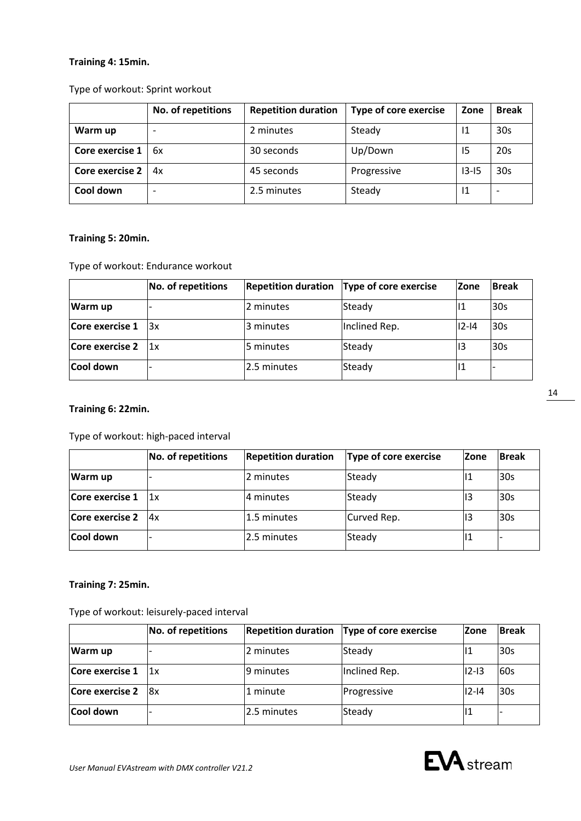### **Training 4: 15min.**

### Type of workout: Sprint workout

|                        | No. of repetitions | <b>Repetition duration</b> | <b>Type of core exercise</b> | Zone      | <b>Break</b>    |
|------------------------|--------------------|----------------------------|------------------------------|-----------|-----------------|
| Warm up                |                    | 2 minutes                  | Steady                       | 11        | 30s             |
| Core exercise 1        | 6x                 | 30 seconds                 | Up/Down                      | 15        | 20s             |
| <b>Core exercise 2</b> | 4х                 | 45 seconds                 | Progressive                  | $13 - 15$ | 30 <sub>s</sub> |
| Cool down              |                    | 2.5 minutes                | Steady                       | 11        |                 |

### **Training 5: 20min.**

Type of workout: Endurance workout

|                  | No. of repetitions | <b>Repetition duration</b> | Type of core exercise | <b>Zone</b> | <b>Break</b> |
|------------------|--------------------|----------------------------|-----------------------|-------------|--------------|
| Warm up          |                    | 2 minutes                  | Steady                |             | 30s          |
| Core exercise 1  | l3x                | 3 minutes                  | Inclined Rep.         | $12 - 14$   | 30s          |
| Core exercise 2  | 1x                 | l5 minutes                 | Steady                | 13          | 30s          |
| <b>Cool down</b> |                    | 2.5 minutes                | Steady                |             |              |

### **Training 6: 22min.**

Type of workout: high-paced interval

|                 | <b>No. of repetitions</b> | <b>Repetition duration</b> | Type of core exercise | <b>Zone</b> | <b>Break</b> |
|-----------------|---------------------------|----------------------------|-----------------------|-------------|--------------|
| Warm up         |                           | 2 minutes                  | Steady                | 11          | 30s          |
| Core exercise 1 | 1x                        | 4 minutes                  | Steady                | 13          | 30s          |
| Core exercise 2 | 4x                        | 1.5 minutes                | Curved Rep.           | 13          | l30s         |
| Cool down       |                           | 2.5 minutes                | Steady                | 11          |              |

### **Training 7: 25min.**

Type of workout: leisurely-paced interval

|                 | No. of repetitions | <b>Repetition duration</b> | Type of core exercise | <b>Zone</b> | <b>Break</b> |
|-----------------|--------------------|----------------------------|-----------------------|-------------|--------------|
| Warm up         |                    | 2 minutes                  | Steady                | 11          | 30s          |
| Core exercise 1 | l1x                | 9 minutes                  | Inclined Rep.         | $12 - 13$   | 60s          |
| Core exercise 2 | 18x                | 1 minute                   | Progressive           | $12 - 14$   | 30s          |
| Cool down       |                    | 2.5 minutes                | Steady                | 14          |              |

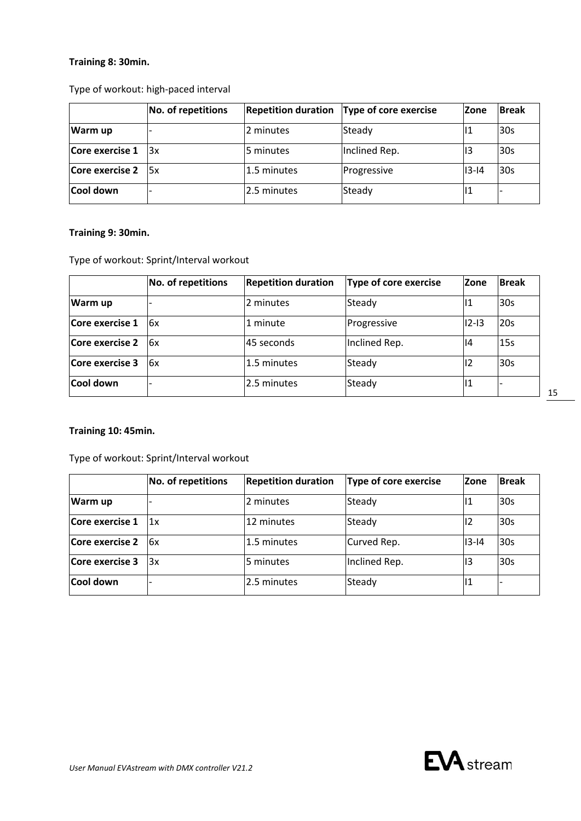### **Training 8: 30min.**

Type of workout: high-paced interval

|                           | No. of repetitions | <b>Repetition duration</b> | Type of core exercise | <b>Zone</b> | <b>Break</b> |
|---------------------------|--------------------|----------------------------|-----------------------|-------------|--------------|
| Warm up                   |                    | 2 minutes                  | Steady                |             | 30s          |
| Core exercise 1           | 13x                | 5 minutes                  | Inclined Rep.         | 13          | 30s          |
| Core exercise $2 \,   5x$ |                    | 1.5 minutes                | Progressive           | 13-14       | 30s          |
| Cool down                 |                    | 2.5 minutes                | Steady                | 14          |              |

### **Training 9: 30min.**

Type of workout: Sprint/Interval workout

|                        | No. of repetitions | <b>Repetition duration</b> | Type of core exercise | <b>Zone</b> | <b>Break</b> |
|------------------------|--------------------|----------------------------|-----------------------|-------------|--------------|
| Warm up                |                    | 2 minutes                  | Steady                | 11          | 30s          |
| Core exercise 1        | 16x                | 1 minute                   | Progressive           | $ 12 - 13 $ | 20s          |
| <b>Core exercise 2</b> | 6x                 | 45 seconds                 | Inclined Rep.         | 14          | <b>15s</b>   |
| Core exercise 3        | l6x                | 1.5 minutes                | Steady                | 12          | l30s         |
| Cool down              |                    | 12.5 minutes               | Steady                | 11          |              |

### **Training 10: 45min.**

Type of workout: Sprint/Interval workout

|                        | <b>No. of repetitions</b> | <b>Repetition duration</b> | Type of core exercise | <b>Zone</b> | <b>Break</b>    |
|------------------------|---------------------------|----------------------------|-----------------------|-------------|-----------------|
| Warm up                |                           | 2 minutes                  | Steady                |             | 30 <sub>s</sub> |
| Core exercise 1        | 1x                        | 12 minutes                 | Steady                | 12          | 30s             |
| <b>Core exercise 2</b> | 16x                       | 1.5 minutes                | Curved Rep.           | $ 13 - 14 $ | 30s             |
| Core exercise 3        | 3x                        | 5 minutes                  | Inclined Rep.         | 13          | 30 <sub>s</sub> |
| <b>Cool down</b>       |                           | 2.5 minutes                | Steady                | 11          |                 |

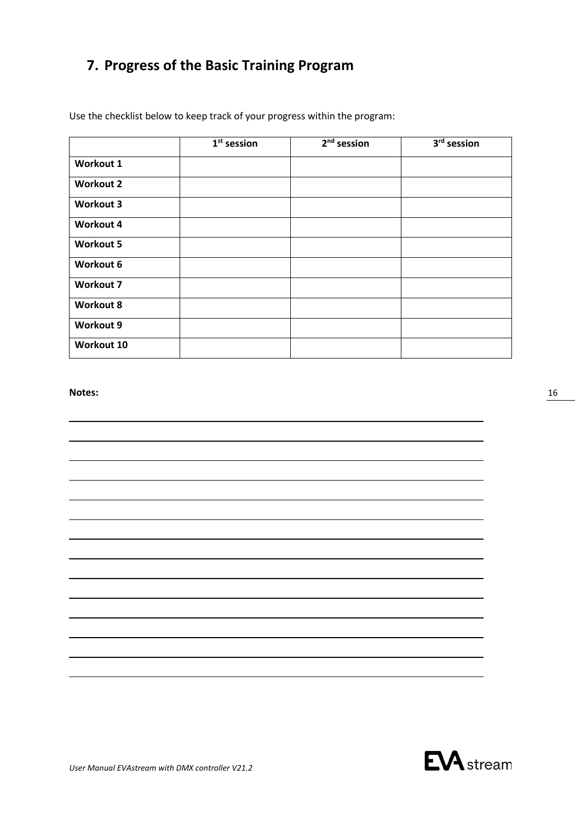# <span id="page-15-0"></span>**7. Progress of the Basic Training Program**

Use the checklist below to keep track of your progress within the program:

|                  | $1st$ session | $2nd$ session | 3 <sup>rd</sup> session |
|------------------|---------------|---------------|-------------------------|
| Workout 1        |               |               |                         |
| <b>Workout 2</b> |               |               |                         |
| <b>Workout 3</b> |               |               |                         |
| <b>Workout 4</b> |               |               |                         |
| <b>Workout 5</b> |               |               |                         |
| Workout 6        |               |               |                         |
| <b>Workout 7</b> |               |               |                         |
| <b>Workout 8</b> |               |               |                         |
| Workout 9        |               |               |                         |
| Workout 10       |               |               |                         |

### **Notes:**

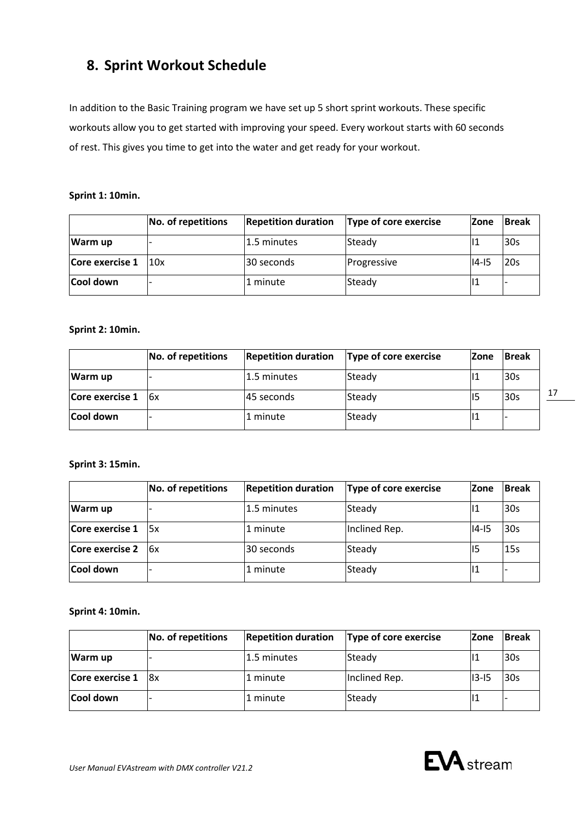# <span id="page-16-0"></span>**8. Sprint Workout Schedule**

In addition to the Basic Training program we have set up 5 short sprint workouts. These specific workouts allow you to get started with improving your speed. Every workout starts with 60 seconds of rest. This gives you time to get into the water and get ready for your workout.

### **Sprint 1: 10min.**

|                 | No. of repetitions | <b>Repetition duration</b> | Type of core exercise | <b>Zone</b> | <b>Break</b> |
|-----------------|--------------------|----------------------------|-----------------------|-------------|--------------|
| <b>Warm up</b>  |                    | 1.5 minutes                | Steady                |             | <b>30s</b>   |
| Core exercise 1 | 10x                | l30 seconds                | Progressive           | 14-15       | 120s         |
| Cool down       |                    | 1 minute                   | Steady                |             |              |

### **Sprint 2: 10min.**

|                        | No. of repetitions | <b>Repetition duration</b> | <b>Type of core exercise</b> | <b>Zone</b> | <b>Break</b> |  |
|------------------------|--------------------|----------------------------|------------------------------|-------------|--------------|--|
| Warm up                |                    | 1.5 minutes                | Steady                       |             | 30s          |  |
| Core exercise $1$   6x |                    | 145 seconds                | Steady                       |             | 30s          |  |
| Cool down              |                    | 1 minute                   | Steady                       |             |              |  |

### **Sprint 3: 15min.**

|                 | No. of repetitions | <b>Repetition duration</b> | Type of core exercise | <b>Zone</b> | <b>Break</b> |
|-----------------|--------------------|----------------------------|-----------------------|-------------|--------------|
| Warm up         |                    | 1.5 minutes                | Steady                | 11 1        | 30s          |
| Core exercise 1 | l5x                | 1 minute                   | Inclined Rep.         | $ 14 - 15 $ | 30s          |
| Core exercise 2 | l6x                | 30 seconds                 | Steady                | 115         | 15s          |
| Cool down       |                    | 1 minute                   | Steady                | ш           |              |

**Sprint 4: 10min.**

|                        | No. of repetitions | <b>Repetition duration</b> | Type of core exercise | <b>Zone</b> | <b>Break</b> |
|------------------------|--------------------|----------------------------|-----------------------|-------------|--------------|
| Warm up                |                    | l1.5 minutes               | Steady                | ll 1        | 30s          |
| Core exercise $1   8x$ |                    | 1 minute                   | Inclined Rep.         | 113-15      | l30s         |
| Cool down              |                    | 1 minute                   | Steady                | ll 1        |              |

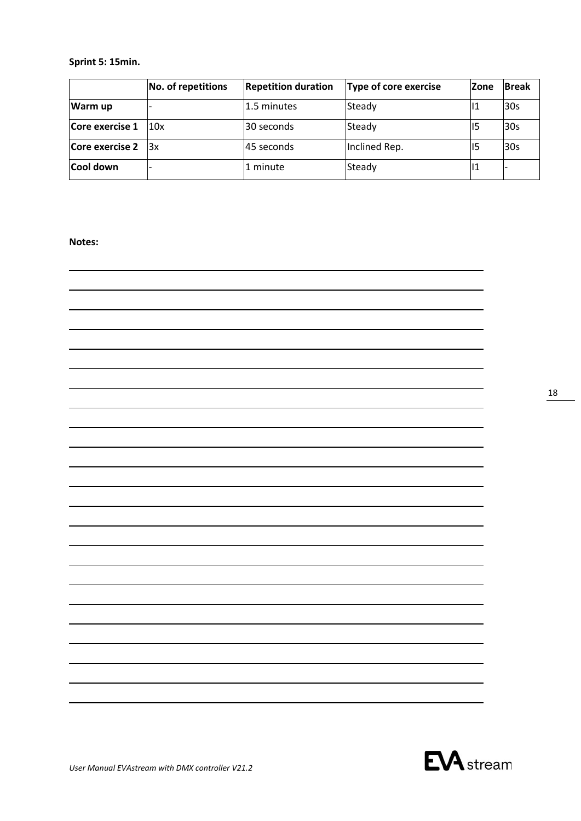### **Sprint 5: 15min.**

|                           | No. of repetitions | <b>Repetition duration</b> | Type of core exercise | <b>Zone</b> | <b>Break</b> |
|---------------------------|--------------------|----------------------------|-----------------------|-------------|--------------|
| Warm up                   |                    | 1.5 minutes                | Steady                | 11          | 30s          |
| Core exercise 1           | 10x                | 30 seconds                 | Steady                | 115         | 30s          |
| Core exercise $2 \,  3x $ |                    | 45 seconds                 | Inclined Rep.         | ll5         | 30s          |
| Cool down                 |                    | 1 minute                   | Steady                | 11          |              |

### **Notes:**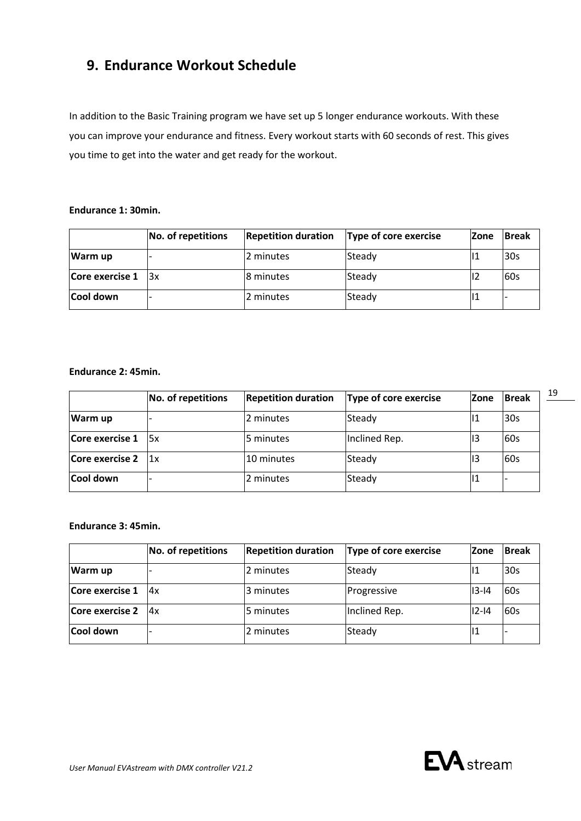# <span id="page-18-0"></span>**9. Endurance Workout Schedule**

In addition to the Basic Training program we have set up 5 longer endurance workouts. With these you can improve your endurance and fitness. Every workout starts with 60 seconds of rest. This gives you time to get into the water and get ready for the workout.

### **Endurance 1: 30min.**

|                 | No. of repetitions | <b>Repetition duration</b> | Type of core exercise | lZone | <b>Break</b> |
|-----------------|--------------------|----------------------------|-----------------------|-------|--------------|
| <b>Warm up</b>  |                    | 2 minutes                  | Steady                |       | 30s          |
| Core exercise 1 | 13x                | 18 minutes                 | Steady                | 12    | l60s         |
| Cool down       |                    | 2 minutes                  | Steady                | Ш     |              |

### **Endurance 2: 45min.**

|                 | No. of repetitions | <b>Repetition duration</b> | Type of core exercise | <b>Zone</b> | <b>Break</b> |
|-----------------|--------------------|----------------------------|-----------------------|-------------|--------------|
| Warm up         |                    | 2 minutes                  | Steady                | 11          | 30s          |
| Core exercise 1 | 15x                | 5 minutes                  | Inclined Rep.         | 13          | <b>60s</b>   |
| Core exercise 2 | 11x                | 10 minutes                 | Steady                | 13          | <b>60s</b>   |
| Cool down       |                    | 2 minutes                  | Steady                |             |              |

### **Endurance 3: 45min.**

|                 | <b>No. of repetitions</b> | <b>Repetition duration</b> | Type of core exercise | <b>Zone</b> | <b>Break</b> |
|-----------------|---------------------------|----------------------------|-----------------------|-------------|--------------|
| Warm up         |                           | 2 minutes                  | Steady                |             | 30s          |
| Core exercise 1 | 4x                        | 3 minutes                  | Progressive           | 13-14       | <b>60s</b>   |
| Core exercise 2 | Ax                        | l5 minutes                 | Inclined Rep.         | $12 - 14$   | <b>60s</b>   |
| Cool down       |                           | 2 minutes                  | Steady                | 111         |              |